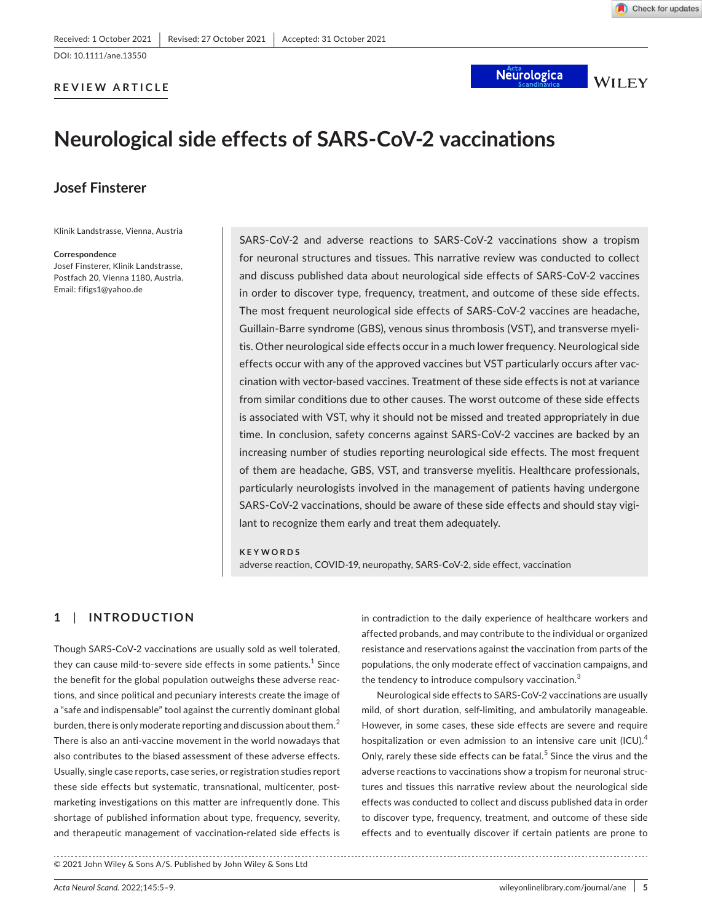### **REVIEW ARTICLE**

**Neurologica** 

**WILEY** 

# **Neurological side effects of SARS-CoV-2 vaccinations**

## **Josef Finsterer**

Klinik Landstrasse, Vienna, Austria

### **Correspondence**

Josef Finsterer, Klinik Landstrasse, Postfach 20, Vienna 1180, Austria. Email: [fifigs1@yahoo.de](mailto:fifigs1@yahoo.de)

SARS-CoV-2 and adverse reactions to SARS-CoV-2 vaccinations show a tropism for neuronal structures and tissues. This narrative review was conducted to collect and discuss published data about neurological side effects of SARS-CoV-2 vaccines in order to discover type, frequency, treatment, and outcome of these side effects. The most frequent neurological side effects of SARS-CoV-2 vaccines are headache, Guillain-Barre syndrome (GBS), venous sinus thrombosis (VST), and transverse myelitis. Other neurological side effects occur in a much lower frequency. Neurological side effects occur with any of the approved vaccines but VST particularly occurs after vaccination with vector-based vaccines. Treatment of these side effects is not at variance from similar conditions due to other causes. The worst outcome of these side effects is associated with VST, why it should not be missed and treated appropriately in due time. In conclusion, safety concerns against SARS-CoV-2 vaccines are backed by an increasing number of studies reporting neurological side effects. The most frequent of them are headache, GBS, VST, and transverse myelitis. Healthcare professionals, particularly neurologists involved in the management of patients having undergone SARS-CoV-2 vaccinations, should be aware of these side effects and should stay vigilant to recognize them early and treat them adequately.

### **KEYWORDS**

adverse reaction, COVID-19, neuropathy, SARS-CoV-2, side effect, vaccination

### **1**  | **INTRODUCTION**

Though SARS-CoV-2 vaccinations are usually sold as well tolerated, they can cause mild-to-severe side effects in some patients. $^{\rm 1}$  Since the benefit for the global population outweighs these adverse reactions, and since political and pecuniary interests create the image of a "safe and indispensable" tool against the currently dominant global burden, there is only moderate reporting and discussion about them. $^2$ There is also an anti-vaccine movement in the world nowadays that also contributes to the biased assessment of these adverse effects. Usually, single case reports, case series, or registration studies report these side effects but systematic, transnational, multicenter, postmarketing investigations on this matter are infrequently done. This shortage of published information about type, frequency, severity, and therapeutic management of vaccination-related side effects is

© 2021 John Wiley & Sons A/S. Published by John Wiley & Sons Ltd

in contradiction to the daily experience of healthcare workers and affected probands, and may contribute to the individual or organized resistance and reservations against the vaccination from parts of the populations, the only moderate effect of vaccination campaigns, and the tendency to introduce compulsory vaccination.<sup>3</sup>

Neurological side effects to SARS-CoV-2 vaccinations are usually mild, of short duration, self-limiting, and ambulatorily manageable. However, in some cases, these side effects are severe and require hospitalization or even admission to an intensive care unit (ICU).<sup>4</sup> Only, rarely these side effects can be fatal.<sup>5</sup> Since the virus and the adverse reactions to vaccinations show a tropism for neuronal structures and tissues this narrative review about the neurological side effects was conducted to collect and discuss published data in order to discover type, frequency, treatment, and outcome of these side effects and to eventually discover if certain patients are prone to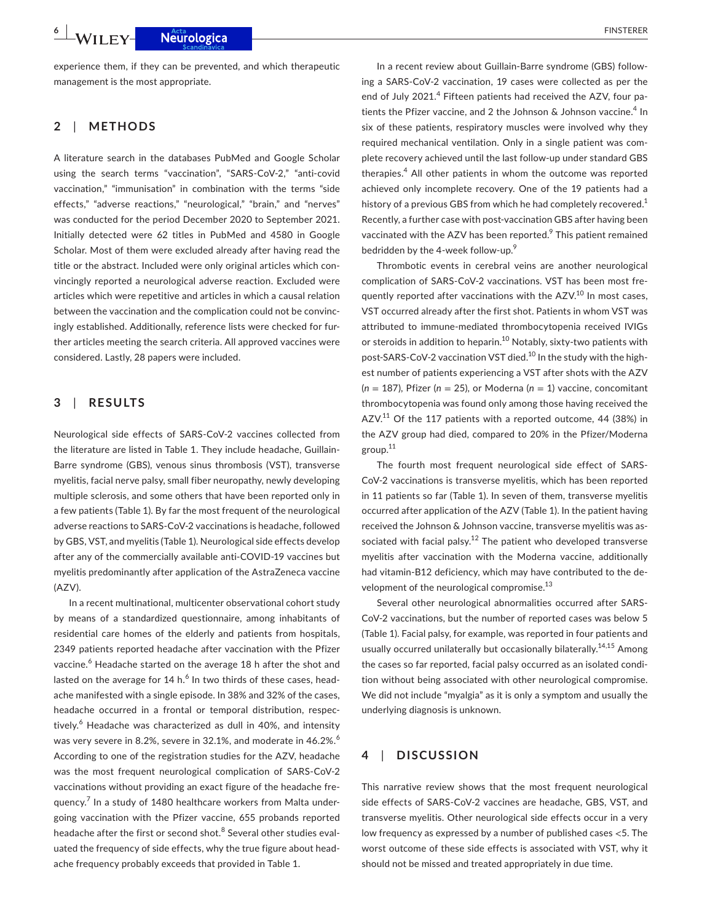**6 <sup>|</sup>**  FINSTERER

experience them, if they can be prevented, and which therapeutic management is the most appropriate.

### **2**  | **METHODS**

A literature search in the databases PubMed and Google Scholar using the search terms "vaccination", "SARS-CoV-2," "anti-covid vaccination," "immunisation" in combination with the terms "side effects," "adverse reactions," "neurological," "brain," and "nerves" was conducted for the period December 2020 to September 2021. Initially detected were 62 titles in PubMed and 4580 in Google Scholar. Most of them were excluded already after having read the title or the abstract. Included were only original articles which convincingly reported a neurological adverse reaction. Excluded were articles which were repetitive and articles in which a causal relation between the vaccination and the complication could not be convincingly established. Additionally, reference lists were checked for further articles meeting the search criteria. All approved vaccines were considered. Lastly, 28 papers were included.

### **3**  | **RESULTS**

Neurological side effects of SARS-CoV-2 vaccines collected from the literature are listed in Table 1. They include headache, Guillain-Barre syndrome (GBS), venous sinus thrombosis (VST), transverse myelitis, facial nerve palsy, small fiber neuropathy, newly developing multiple sclerosis, and some others that have been reported only in a few patients (Table 1). By far the most frequent of the neurological adverse reactions to SARS-CoV-2 vaccinations is headache, followed by GBS, VST, and myelitis (Table 1). Neurological side effects develop after any of the commercially available anti-COVID-19 vaccines but myelitis predominantly after application of the AstraZeneca vaccine (AZV).

In a recent multinational, multicenter observational cohort study by means of a standardized questionnaire, among inhabitants of residential care homes of the elderly and patients from hospitals, 2349 patients reported headache after vaccination with the Pfizer vaccine.<sup>6</sup> Headache started on the average 18 h after the shot and lasted on the average for 14 h. $^6$  In two thirds of these cases, headache manifested with a single episode. In 38% and 32% of the cases, headache occurred in a frontal or temporal distribution, respectively.<sup>6</sup> Headache was characterized as dull in 40%, and intensity was very severe in 8.2%, severe in 32.1%, and moderate in 46.2%.<sup>6</sup> According to one of the registration studies for the AZV, headache was the most frequent neurological complication of SARS-CoV-2 vaccinations without providing an exact figure of the headache frequency.<sup>7</sup> In a study of 1480 healthcare workers from Malta undergoing vaccination with the Pfizer vaccine, 655 probands reported headache after the first or second shot.<sup>8</sup> Several other studies evaluated the frequency of side effects, why the true figure about headache frequency probably exceeds that provided in Table 1.

In a recent review about Guillain-Barre syndrome (GBS) following a SARS-CoV-2 vaccination, 19 cases were collected as per the end of July 2021.<sup>4</sup> Fifteen patients had received the AZV, four patients the Pfizer vaccine, and 2 the Johnson & Johnson vaccine.<sup>4</sup> In six of these patients, respiratory muscles were involved why they required mechanical ventilation. Only in a single patient was complete recovery achieved until the last follow-up under standard GBS therapies.<sup>4</sup> All other patients in whom the outcome was reported achieved only incomplete recovery. One of the 19 patients had a history of a previous GBS from which he had completely recovered.<sup>1</sup> Recently, a further case with post-vaccination GBS after having been vaccinated with the AZV has been reported.<sup>9</sup> This patient remained bedridden by the 4-week follow-up.<sup>9</sup>

Thrombotic events in cerebral veins are another neurological complication of SARS-CoV-2 vaccinations. VST has been most frequently reported after vaccinations with the AZV.<sup>10</sup> In most cases, VST occurred already after the first shot. Patients in whom VST was attributed to immune-mediated thrombocytopenia received IVIGs or steroids in addition to heparin.<sup>10</sup> Notably, sixty-two patients with post-SARS-CoV-2 vaccination VST died.10 In the study with the highest number of patients experiencing a VST after shots with the AZV (*n* = 187), Pfizer (*n* = 25), or Moderna (*n* = 1) vaccine, concomitant thrombocytopenia was found only among those having received the AZV. $11$  Of the 117 patients with a reported outcome, 44 (38%) in the AZV group had died, compared to 20% in the Pfizer/Moderna group.11

The fourth most frequent neurological side effect of SARS-CoV-2 vaccinations is transverse myelitis, which has been reported in 11 patients so far (Table 1). In seven of them, transverse myelitis occurred after application of the AZV (Table 1). In the patient having received the Johnson & Johnson vaccine, transverse myelitis was associated with facial palsy.<sup>12</sup> The patient who developed transverse myelitis after vaccination with the Moderna vaccine, additionally had vitamin-B12 deficiency, which may have contributed to the development of the neurological compromise. $^{13}$ 

Several other neurological abnormalities occurred after SARS-CoV-2 vaccinations, but the number of reported cases was below 5 (Table 1). Facial palsy, for example, was reported in four patients and usually occurred unilaterally but occasionally bilaterally.<sup>14,15</sup> Among the cases so far reported, facial palsy occurred as an isolated condition without being associated with other neurological compromise. We did not include "myalgia" as it is only a symptom and usually the underlying diagnosis is unknown.

### **4**  | **DISCUSSION**

This narrative review shows that the most frequent neurological side effects of SARS-CoV-2 vaccines are headache, GBS, VST, and transverse myelitis. Other neurological side effects occur in a very low frequency as expressed by a number of published cases <5. The worst outcome of these side effects is associated with VST, why it should not be missed and treated appropriately in due time.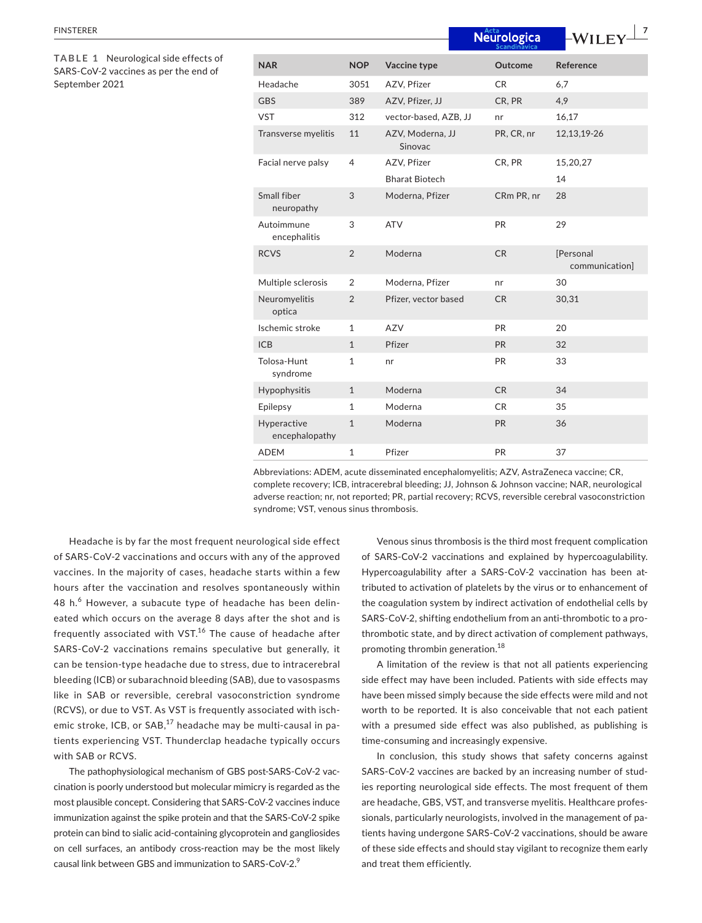| <b>FINSTERER</b>                                                                                |                               |                |                             | Neurologica | 7<br>-WILEY                 |
|-------------------------------------------------------------------------------------------------|-------------------------------|----------------|-----------------------------|-------------|-----------------------------|
| TABLE 1 Neurological side effects of<br>SARS-CoV-2 vaccines as per the end of<br>September 2021 | <b>NAR</b>                    | <b>NOP</b>     | Vaccine type                | Outcome     | Reference                   |
|                                                                                                 | Headache                      | 3051           | AZV, Pfizer                 | <b>CR</b>   | 6,7                         |
|                                                                                                 | <b>GBS</b>                    | 389            | AZV, Pfizer, JJ             | CR, PR      | 4,9                         |
|                                                                                                 | <b>VST</b>                    | 312            | vector-based, AZB, JJ       | nr          | 16,17                       |
|                                                                                                 | Transverse myelitis           | 11             | AZV, Moderna, JJ<br>Sinovac | PR, CR, nr  | 12, 13, 19 - 26             |
|                                                                                                 | Facial nerve palsy            | $\overline{4}$ | AZV, Pfizer                 | CR, PR      | 15,20,27                    |
|                                                                                                 |                               |                | <b>Bharat Biotech</b>       |             | 14                          |
|                                                                                                 | Small fiber<br>neuropathy     | 3              | Moderna, Pfizer             | CRm PR, nr  | 28                          |
|                                                                                                 | Autoimmune<br>encephalitis    | 3              | <b>ATV</b>                  | PR          | 29                          |
|                                                                                                 | <b>RCVS</b>                   | $\overline{2}$ | Moderna                     | CR          | [Personal<br>communication] |
|                                                                                                 | Multiple sclerosis            | $\overline{2}$ | Moderna, Pfizer             | nr          | 30                          |
|                                                                                                 | Neuromyelitis<br>optica       | $\sqrt{2}$     | Pfizer, vector based        | CR          | 30,31                       |
|                                                                                                 | Ischemic stroke               | $\mathbf{1}$   | AZV                         | PR          | 20                          |
|                                                                                                 | <b>ICB</b>                    | $\mathbf{1}$   | Pfizer                      | <b>PR</b>   | 32                          |
|                                                                                                 | Tolosa-Hunt<br>syndrome       | $\mathbf{1}$   | nr                          | PR          | 33                          |
|                                                                                                 | Hypophysitis                  | $\mathbf{1}$   | Moderna                     | <b>CR</b>   | 34                          |
|                                                                                                 | Epilepsy                      | $\mathbf{1}$   | Moderna                     | <b>CR</b>   | 35                          |
|                                                                                                 | Hyperactive<br>encephalopathy | $\mathbf{1}$   | Moderna                     | <b>PR</b>   | 36                          |
|                                                                                                 | <b>ADEM</b>                   | $\mathbf{1}$   | Pfizer                      | <b>PR</b>   | 37                          |

Abbreviations: ADEM, acute disseminated encephalomyelitis; AZV, AstraZeneca vaccine; CR, complete recovery; ICB, intracerebral bleeding; JJ, Johnson & Johnson vaccine; NAR, neurological adverse reaction; nr, not reported; PR, partial recovery; RCVS, reversible cerebral vasoconstriction syndrome; VST, venous sinus thrombosis.

Headache is by far the most frequent neurological side effect of SARS-CoV-2 vaccinations and occurs with any of the approved vaccines. In the majority of cases, headache starts within a few hours after the vaccination and resolves spontaneously within 48 h.<sup>6</sup> However, a subacute type of headache has been delineated which occurs on the average 8 days after the shot and is frequently associated with VST.<sup>16</sup> The cause of headache after SARS-CoV-2 vaccinations remains speculative but generally, it can be tension-type headache due to stress, due to intracerebral bleeding (ICB) or subarachnoid bleeding (SAB), due to vasospasms like in SAB or reversible, cerebral vasoconstriction syndrome (RCVS), or due to VST. As VST is frequently associated with ischemic stroke, ICB, or  $SAB$ ,<sup>17</sup> headache may be multi-causal in patients experiencing VST. Thunderclap headache typically occurs with SAB or RCVS.

The pathophysiological mechanism of GBS post-SARS-CoV-2 vaccination is poorly understood but molecular mimicry is regarded as the most plausible concept. Considering that SARS-CoV-2 vaccines induce immunization against the spike protein and that the SARS-CoV-2 spike protein can bind to sialic acid-containing glycoprotein and gangliosides on cell surfaces, an antibody cross-reaction may be the most likely causal link between GBS and immunization to SARS-CoV-2.9

Venous sinus thrombosis is the third most frequent complication of SARS-CoV-2 vaccinations and explained by hypercoagulability. Hypercoagulability after a SARS-CoV-2 vaccination has been attributed to activation of platelets by the virus or to enhancement of the coagulation system by indirect activation of endothelial cells by SARS-CoV-2, shifting endothelium from an anti-thrombotic to a prothrombotic state, and by direct activation of complement pathways, promoting thrombin generation.18

A limitation of the review is that not all patients experiencing side effect may have been included. Patients with side effects may have been missed simply because the side effects were mild and not worth to be reported. It is also conceivable that not each patient with a presumed side effect was also published, as publishing is time-consuming and increasingly expensive.

In conclusion, this study shows that safety concerns against SARS-CoV-2 vaccines are backed by an increasing number of studies reporting neurological side effects. The most frequent of them are headache, GBS, VST, and transverse myelitis. Healthcare professionals, particularly neurologists, involved in the management of patients having undergone SARS-CoV-2 vaccinations, should be aware of these side effects and should stay vigilant to recognize them early and treat them efficiently.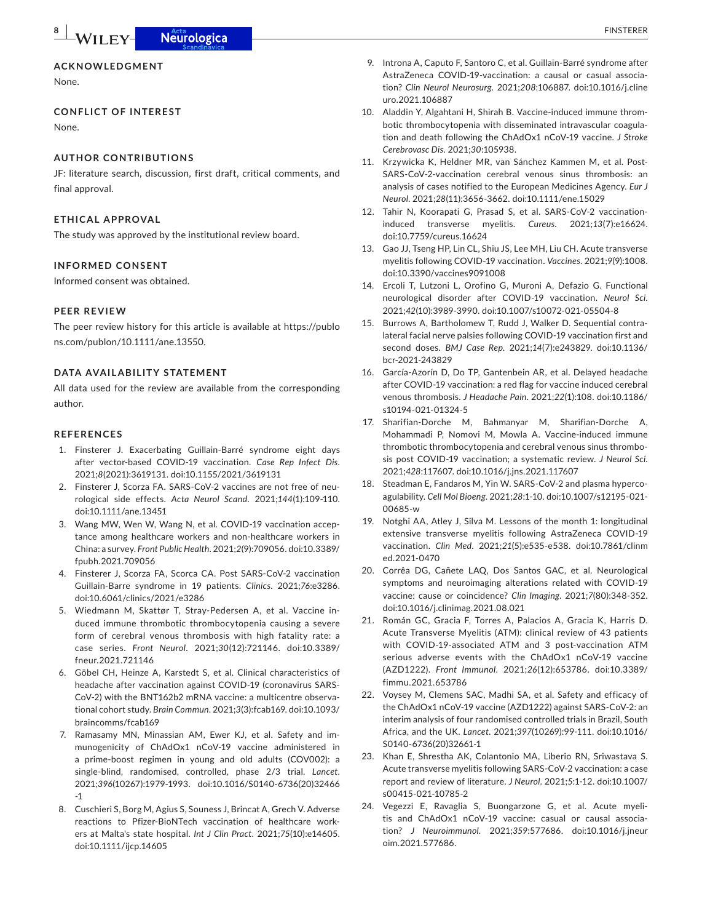### **ACKNOWLEDGMENT**

None.

### **CONFLICT OF INTEREST**

None.

### **AUTHOR CONTRIBUTIONS**

JF: literature search, discussion, first draft, critical comments, and final approval.

### **ETHICAL APPROVAL**

The study was approved by the institutional review board.

### **INFORMED CONSENT**

Informed consent was obtained.

### **PEER REVIEW**

The peer review history for this article is available at [https://publo](https://publons.com/publon/10.1111/ane.13550) [ns.com/publon/10.1111/ane.13550.](https://publons.com/publon/10.1111/ane.13550)

### **DATA AVAILABILITY STATEMENT**

All data used for the review are available from the corresponding author.

### **REFERENCES**

- 1. Finsterer J. Exacerbating Guillain-Barré syndrome eight days after vector-based COVID-19 vaccination. *Case Rep Infect Dis*. 2021;*8*(2021):3619131. doi[:10.1155/2021/3619131](https://doi.org/10.1155/2021/3619131)
- 2. Finsterer J, Scorza FA. SARS-CoV-2 vaccines are not free of neurological side effects. *Acta Neurol Scand*. 2021;*144*(1):109-110. doi:[10.1111/ane.13451](https://doi.org/10.1111/ane.13451)
- 3. Wang MW, Wen W, Wang N, et al. COVID-19 vaccination acceptance among healthcare workers and non-healthcare workers in China: a survey. *Front Public Health*. 2021;*2*(9):709056. doi[:10.3389/](https://doi.org/10.3389/fpubh.2021.709056) [fpubh.2021.709056](https://doi.org/10.3389/fpubh.2021.709056)
- 4. Finsterer J, Scorza FA, Scorca CA. Post SARS-CoV-2 vaccination Guillain-Barre syndrome in 19 patients. *Clinics*. 2021;*76*:e3286. doi:[10.6061/clinics/2021/e3286](https://doi.org/10.6061/clinics/2021/e3286)
- 5. Wiedmann M, Skattør T, Stray-Pedersen A, et al. Vaccine induced immune thrombotic thrombocytopenia causing a severe form of cerebral venous thrombosis with high fatality rate: a case series. *Front Neurol*. 2021;*30*(12):721146. doi[:10.3389/](https://doi.org/10.3389/fneur.2021.721146) [fneur.2021.721146](https://doi.org/10.3389/fneur.2021.721146)
- 6. Göbel CH, Heinze A, Karstedt S, et al. Clinical characteristics of headache after vaccination against COVID-19 (coronavirus SARS-CoV-2) with the BNT162b2 mRNA vaccine: a multicentre observational cohort study. *Brain Commun*. 2021;*3*(3):fcab169. doi[:10.1093/](https://doi.org/10.1093/braincomms/fcab169) [braincomms/fcab169](https://doi.org/10.1093/braincomms/fcab169)
- 7. Ramasamy MN, Minassian AM, Ewer KJ, et al. Safety and immunogenicity of ChAdOx1 nCoV-19 vaccine administered in a prime-boost regimen in young and old adults (COV002): a single-blind, randomised, controlled, phase 2/3 trial. *Lancet*. 2021;*396*(10267):1979-1993. doi[:10.1016/S0140-6736\(20\)32466](https://doi.org/10.1016/S0140-6736(20)32466-1) [-1](https://doi.org/10.1016/S0140-6736(20)32466-1)
- 8. Cuschieri S, Borg M, Agius S, Souness J, Brincat A, Grech V. Adverse reactions to Pfizer-BioNTech vaccination of healthcare workers at Malta's state hospital. *Int J Clin Pract*. 2021;*75*(10):e14605. doi:[10.1111/ijcp.14605](https://doi.org/10.1111/ijcp.14605)
- 9. Introna A, Caputo F, Santoro C, et al. Guillain-Barré syndrome after AstraZeneca COVID-19-vaccination: a causal or casual association? *Clin Neurol Neurosurg*. 2021;*208*:106887. doi[:10.1016/j.cline](https://doi.org/10.1016/j.clineuro.2021.106887) [uro.2021.106887](https://doi.org/10.1016/j.clineuro.2021.106887)
- 10. Aladdin Y, Algahtani H, Shirah B. Vaccine-induced immune thrombotic thrombocytopenia with disseminated intravascular coagulation and death following the ChAdOx1 nCoV-19 vaccine. *J Stroke Cerebrovasc Dis*. 2021;*30*:105938.
- 11. Krzywicka K, Heldner MR, van Sánchez Kammen M, et al. Post-SARS-CoV-2-vaccination cerebral venous sinus thrombosis: an analysis of cases notified to the European Medicines Agency. *Eur J Neurol*. 2021;*28*(11):3656-3662. doi[:10.1111/ene.15029](https://doi.org/10.1111/ene.15029)
- 12. Tahir N, Koorapati G, Prasad S, et al. SARS-CoV-2 vaccinationinduced transverse myelitis. *Cureus*. 2021;*13*(7):e16624. doi[:10.7759/cureus.16624](https://doi.org/10.7759/cureus.16624)
- 13. Gao JJ, Tseng HP, Lin CL, Shiu JS, Lee MH, Liu CH. Acute transverse myelitis following COVID-19 vaccination. *Vaccines*. 2021;*9*(9):1008. doi[:10.3390/vaccines9091008](https://doi.org/10.3390/vaccines9091008)
- 14. Ercoli T, Lutzoni L, Orofino G, Muroni A, Defazio G. Functional neurological disorder after COVID-19 vaccination. *Neurol Sci*. 2021;*42*(10):3989-3990. doi[:10.1007/s10072-021-05504-8](https://doi.org/10.1007/s10072-021-05504-8)
- 15. Burrows A, Bartholomew T, Rudd J, Walker D. Sequential contralateral facial nerve palsies following COVID-19 vaccination first and second doses. *BMJ Case Rep*. 2021;*14*(7):e243829. doi:[10.1136/](https://doi.org/10.1136/bcr-2021-243829) [bcr-2021-243829](https://doi.org/10.1136/bcr-2021-243829)
- 16. García-Azorín D, Do TP, Gantenbein AR, et al. Delayed headache after COVID-19 vaccination: a red flag for vaccine induced cerebral venous thrombosis. *J Headache Pain*. 2021;*22*(1):108. doi:[10.1186/](https://doi.org/10.1186/s10194-021-01324-5) [s10194-021-01324-5](https://doi.org/10.1186/s10194-021-01324-5)
- 17. Sharifian-Dorche M, Bahmanyar M, Sharifian-Dorche A, Mohammadi P, Nomovi M, Mowla A. Vaccine-induced immune thrombotic thrombocytopenia and cerebral venous sinus thrombosis post COVID-19 vaccination; a systematic review. *J Neurol Sci*. 2021;*428*:117607. doi:[10.1016/j.jns.2021.117607](https://doi.org/10.1016/j.jns.2021.117607)
- 18. Steadman E, Fandaros M, Yin W. SARS-CoV-2 and plasma hypercoagulability. *Cell Mol Bioeng*. 2021;*28*:1-10. doi[:10.1007/s12195-021-](https://doi.org/10.1007/s12195-021-00685-w) [00685-w](https://doi.org/10.1007/s12195-021-00685-w)
- 19. Notghi AA, Atley J, Silva M. Lessons of the month 1: longitudinal extensive transverse myelitis following AstraZeneca COVID-19 vaccination. *Clin Med*. 2021;*21*(5):e535-e538. doi[:10.7861/clinm](https://doi.org/10.7861/clinmed.2021-0470) [ed.2021-0470](https://doi.org/10.7861/clinmed.2021-0470)
- 20. Corrêa DG, Cañete LAQ, Dos Santos GAC, et al. Neurological symptoms and neuroimaging alterations related with COVID-19 vaccine: cause or coincidence? *Clin Imaging*. 2021;*7*(80):348-352. doi[:10.1016/j.clinimag.2021.08.021](https://doi.org/10.1016/j.clinimag.2021.08.021)
- 21. Román GC, Gracia F, Torres A, Palacios A, Gracia K, Harris D. Acute Transverse Myelitis (ATM): clinical review of 43 patients with COVID-19-associated ATM and 3 post-vaccination ATM serious adverse events with the ChAdOx1 nCoV-19 vaccine (AZD1222). *Front Immunol*. 2021;*26*(12):653786. doi[:10.3389/](https://doi.org/10.3389/fimmu.2021.653786) [fimmu.2021.653786](https://doi.org/10.3389/fimmu.2021.653786)
- 22. Voysey M, Clemens SAC, Madhi SA, et al. Safety and efficacy of the ChAdOx1 nCoV-19 vaccine (AZD1222) against SARS-CoV-2: an interim analysis of four randomised controlled trials in Brazil, South Africa, and the UK. *Lancet*. 2021;*397*(10269):99-111. doi:[10.1016/](https://doi.org/10.1016/S0140-6736(20)32661-1) [S0140-6736\(20\)32661-1](https://doi.org/10.1016/S0140-6736(20)32661-1)
- 23. Khan E, Shrestha AK, Colantonio MA, Liberio RN, Sriwastava S. Acute transverse myelitis following SARS-CoV-2 vaccination: a case report and review of literature. *J Neurol*. 2021;*5*:1-12. doi[:10.1007/](https://doi.org/10.1007/s00415-021-10785-2) [s00415-021-10785-2](https://doi.org/10.1007/s00415-021-10785-2)
- 24. Vegezzi E, Ravaglia S, Buongarzone G, et al. Acute myelitis and ChAdOx1 nCoV-19 vaccine: casual or causal association? *J Neuroimmunol*. 2021;*359*:577686. doi:[10.1016/j.jneur](https://doi.org/10.1016/j.jneuroim.2021.577686) [oim.2021.577686](https://doi.org/10.1016/j.jneuroim.2021.577686).